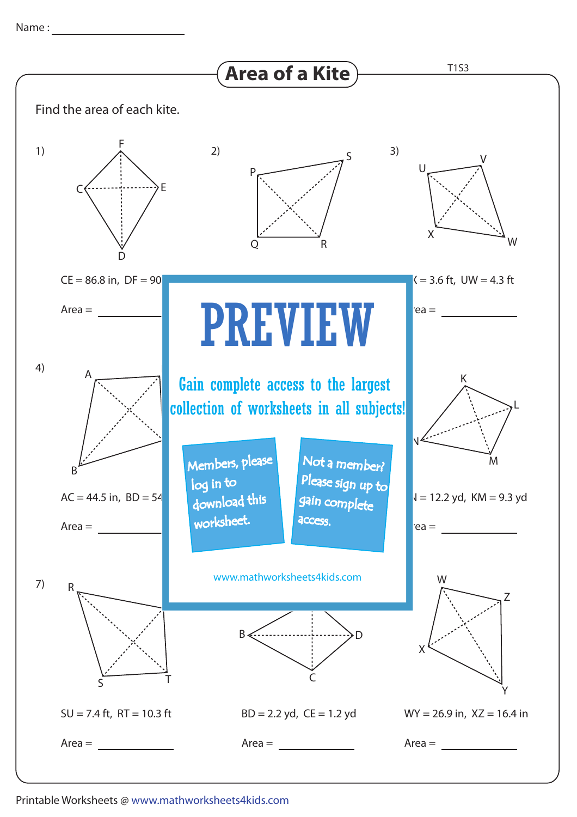